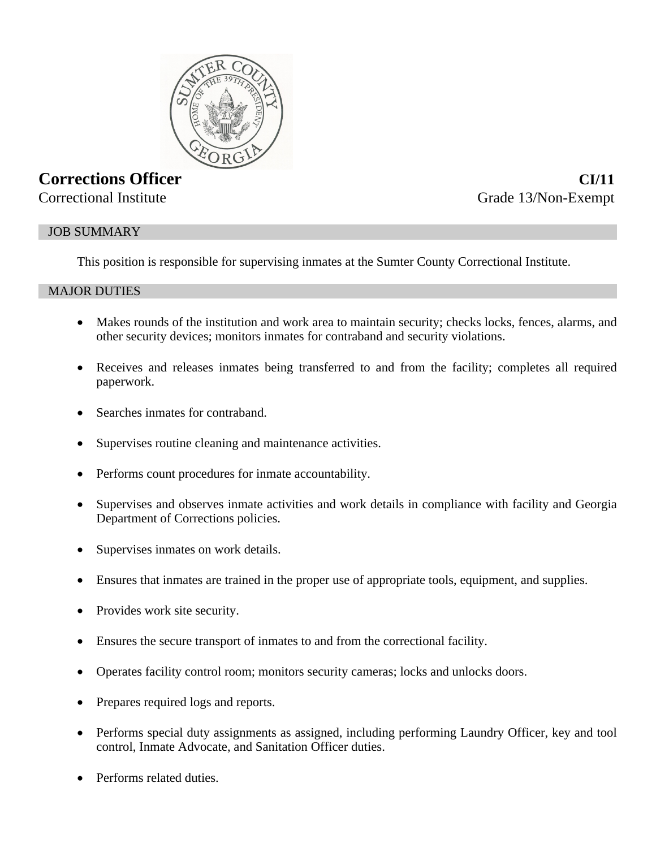

# **Corrections Officer CI/11**

Correctional Institute Grade 13/Non-Exempt

# JOB SUMMARY

This position is responsible for supervising inmates at the Sumter County Correctional Institute.

# MAJOR DUTIES

- Makes rounds of the institution and work area to maintain security; checks locks, fences, alarms, and other security devices; monitors inmates for contraband and security violations.
- Receives and releases inmates being transferred to and from the facility; completes all required paperwork.
- Searches inmates for contraband.
- Supervises routine cleaning and maintenance activities.
- Performs count procedures for inmate accountability.
- Supervises and observes inmate activities and work details in compliance with facility and Georgia Department of Corrections policies.
- Supervises inmates on work details.
- Ensures that inmates are trained in the proper use of appropriate tools, equipment, and supplies.
- Provides work site security.
- Ensures the secure transport of inmates to and from the correctional facility.
- Operates facility control room; monitors security cameras; locks and unlocks doors.
- Prepares required logs and reports.
- Performs special duty assignments as assigned, including performing Laundry Officer, key and tool control, Inmate Advocate, and Sanitation Officer duties.
- Performs related duties.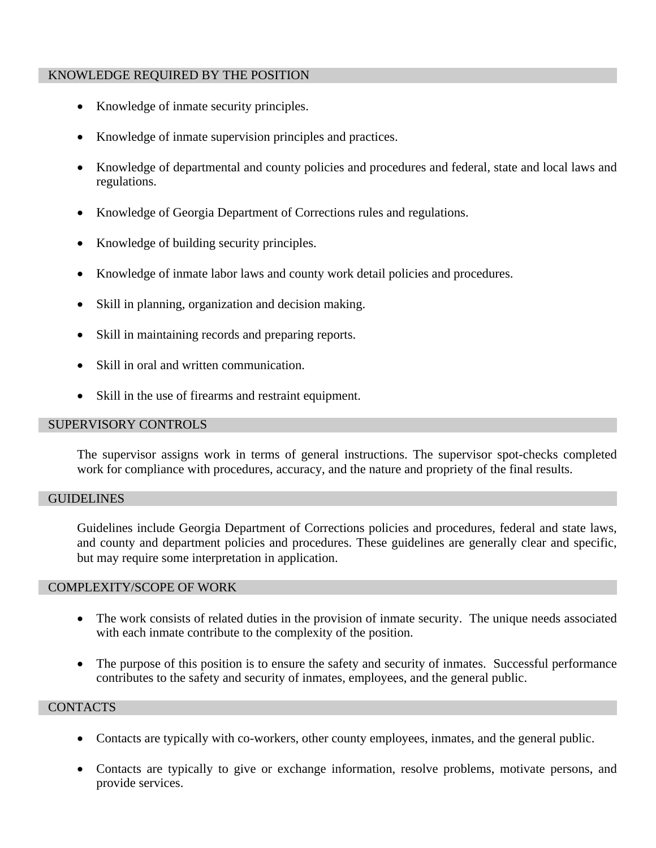## KNOWLEDGE REQUIRED BY THE POSITION

- Knowledge of inmate security principles.
- Knowledge of inmate supervision principles and practices.
- Knowledge of departmental and county policies and procedures and federal, state and local laws and regulations.
- Knowledge of Georgia Department of Corrections rules and regulations.
- Knowledge of building security principles.
- Knowledge of inmate labor laws and county work detail policies and procedures.
- Skill in planning, organization and decision making.
- Skill in maintaining records and preparing reports.
- Skill in oral and written communication.
- Skill in the use of firearms and restraint equipment.

# SUPERVISORY CONTROLS

The supervisor assigns work in terms of general instructions. The supervisor spot-checks completed work for compliance with procedures, accuracy, and the nature and propriety of the final results.

#### **GUIDELINES**

Guidelines include Georgia Department of Corrections policies and procedures, federal and state laws, and county and department policies and procedures. These guidelines are generally clear and specific, but may require some interpretation in application.

#### COMPLEXITY/SCOPE OF WORK

- The work consists of related duties in the provision of inmate security. The unique needs associated with each inmate contribute to the complexity of the position.
- The purpose of this position is to ensure the safety and security of inmates. Successful performance contributes to the safety and security of inmates, employees, and the general public.

# **CONTACTS**

- Contacts are typically with co-workers, other county employees, inmates, and the general public.
- Contacts are typically to give or exchange information, resolve problems, motivate persons, and provide services.